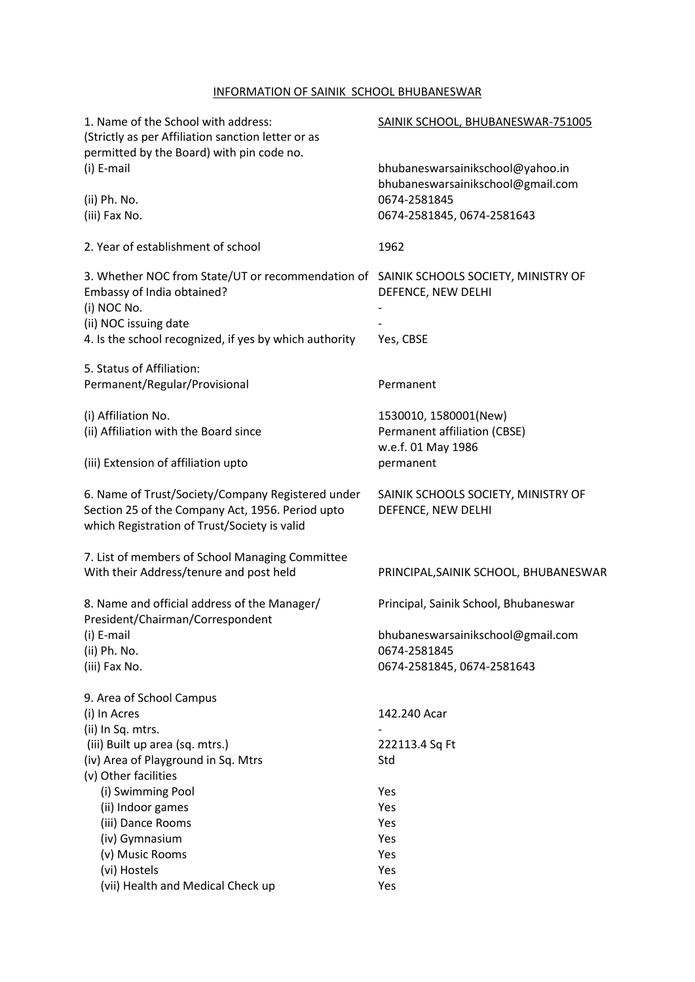## INFORMATION OF SAINIK SCHOOL BHUBANESWAR

| 1. Name of the School with address:<br>(Strictly as per Affiliation sanction letter or as<br>permitted by the Board) with pin code no.                                                                                | SAINIK SCHOOL, BHUBANESWAR-751005                                           |  |  |
|-----------------------------------------------------------------------------------------------------------------------------------------------------------------------------------------------------------------------|-----------------------------------------------------------------------------|--|--|
| (i) E-mail                                                                                                                                                                                                            | bhubaneswarsainikschool@yahoo.in<br>bhubaneswarsainikschool@gmail.com       |  |  |
| (ii) Ph. No.<br>(iii) Fax No.                                                                                                                                                                                         | 0674-2581845<br>0674-2581845, 0674-2581643                                  |  |  |
| 2. Year of establishment of school                                                                                                                                                                                    | 1962                                                                        |  |  |
| 3. Whether NOC from State/UT or recommendation of SAINIK SCHOOLS SOCIETY, MINISTRY OF<br>Embassy of India obtained?<br>(i) NOC No.<br>(ii) NOC issuing date<br>4. Is the school recognized, if yes by which authority | DEFENCE, NEW DELHI<br>Yes, CBSE                                             |  |  |
|                                                                                                                                                                                                                       |                                                                             |  |  |
| 5. Status of Affiliation:<br>Permanent/Regular/Provisional                                                                                                                                                            | Permanent                                                                   |  |  |
| (i) Affiliation No.<br>(ii) Affiliation with the Board since                                                                                                                                                          | 1530010, 1580001(New)<br>Permanent affiliation (CBSE)<br>w.e.f. 01 May 1986 |  |  |
| (iii) Extension of affiliation upto                                                                                                                                                                                   | permanent                                                                   |  |  |
| 6. Name of Trust/Society/Company Registered under<br>Section 25 of the Company Act, 1956. Period upto<br>which Registration of Trust/Society is valid                                                                 | SAINIK SCHOOLS SOCIETY, MINISTRY OF<br>DEFENCE, NEW DELHI                   |  |  |
| 7. List of members of School Managing Committee<br>With their Address/tenure and post held                                                                                                                            | PRINCIPAL, SAINIK SCHOOL, BHUBANESWAR                                       |  |  |
| 8. Name and official address of the Manager/<br>President/Chairman/Correspondent                                                                                                                                      | Principal, Sainik School, Bhubaneswar                                       |  |  |
| (i) E-mail                                                                                                                                                                                                            | bhubaneswarsainikschool@gmail.com                                           |  |  |
| (ii) Ph. No.                                                                                                                                                                                                          | 0674-2581845                                                                |  |  |
| (iii) Fax No.                                                                                                                                                                                                         | 0674-2581845, 0674-2581643                                                  |  |  |
| 9. Area of School Campus                                                                                                                                                                                              |                                                                             |  |  |
| (i) In Acres                                                                                                                                                                                                          | 142.240 Acar                                                                |  |  |
| (ii) In Sq. mtrs.                                                                                                                                                                                                     |                                                                             |  |  |
| (iii) Built up area (sq. mtrs.)                                                                                                                                                                                       | 222113.4 Sq Ft                                                              |  |  |
| (iv) Area of Playground in Sq. Mtrs                                                                                                                                                                                   | Std                                                                         |  |  |
| (v) Other facilities                                                                                                                                                                                                  |                                                                             |  |  |
| (i) Swimming Pool                                                                                                                                                                                                     | Yes                                                                         |  |  |
| (ii) Indoor games                                                                                                                                                                                                     | Yes                                                                         |  |  |
| (iii) Dance Rooms                                                                                                                                                                                                     | Yes                                                                         |  |  |
| (iv) Gymnasium                                                                                                                                                                                                        | Yes                                                                         |  |  |
| (v) Music Rooms                                                                                                                                                                                                       | Yes                                                                         |  |  |
| (vi) Hostels<br>(vii) Health and Medical Check up                                                                                                                                                                     | Yes<br>Yes                                                                  |  |  |
|                                                                                                                                                                                                                       |                                                                             |  |  |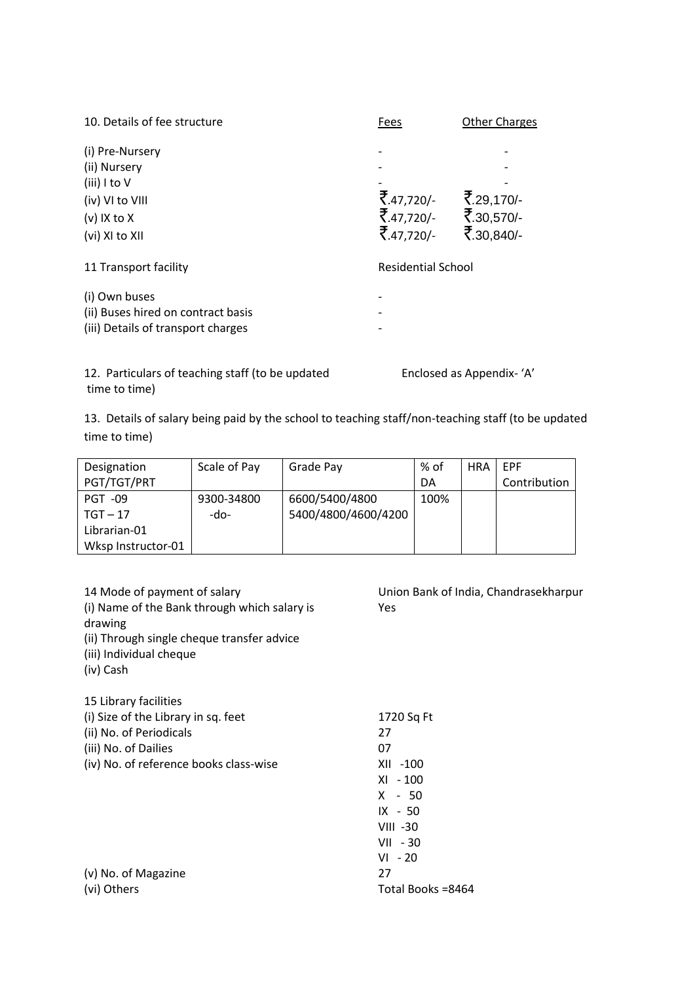| 10. Details of fee structure                                                                          | Fees                                              | <b>Other Charges</b>     |
|-------------------------------------------------------------------------------------------------------|---------------------------------------------------|--------------------------|
| (i) Pre-Nursery<br>(ii) Nursery<br>(iii) I to V<br>(iv) VI to VIII<br>$(v)$ IX to X<br>(vi) XI to XII | ₹.47,720/-<br>₹.47,720/- ₹.30,570/-<br>₹.47,720/- | ₹.29,170/-<br>₹.30,840/- |
| 11 Transport facility                                                                                 | <b>Residential School</b>                         |                          |
| (i) Own buses<br>(ii) Buses hired on contract basis<br>(iii) Details of transport charges             |                                                   |                          |

12. Particulars of teaching staff (to be updated Enclosed as Appendix-'A' time to time)

13. Details of salary being paid by the school to teaching staff/non-teaching staff (to be updated time to time)

| Designation        | Scale of Pay | Grade Pay           | % of | <b>HRA</b> | <b>FPF</b>   |
|--------------------|--------------|---------------------|------|------------|--------------|
| PGT/TGT/PRT        |              |                     | DA   |            | Contribution |
| <b>PGT -09</b>     | 9300-34800   | 6600/5400/4800      | 100% |            |              |
| $TGT - 17$         | -do-         | 5400/4800/4600/4200 |      |            |              |
| Librarian-01       |              |                     |      |            |              |
| Wksp Instructor-01 |              |                     |      |            |              |

| 14 Mode of payment of salary<br>(i) Name of the Bank through which salary is<br>drawing<br>(ii) Through single cheque transfer advice<br>(iii) Individual cheque<br>(iv) Cash | Union Bank of India, Chandrasekharpur<br>Yes |
|-------------------------------------------------------------------------------------------------------------------------------------------------------------------------------|----------------------------------------------|
| 15 Library facilities                                                                                                                                                         |                                              |
| (i) Size of the Library in sq. feet                                                                                                                                           | 1720 Sq Ft                                   |
| (ii) No. of Periodicals                                                                                                                                                       | 27                                           |
| (iii) No. of Dailies                                                                                                                                                          | 07                                           |
| (iv) No. of reference books class-wise                                                                                                                                        | XII -100                                     |
|                                                                                                                                                                               | $XI - 100$                                   |
|                                                                                                                                                                               | $X - 50$                                     |
|                                                                                                                                                                               | $IX - 50$                                    |
|                                                                                                                                                                               | VIII -30                                     |
|                                                                                                                                                                               | $VII - 30$                                   |
|                                                                                                                                                                               | $VI - 20$                                    |
| (v) No. of Magazine                                                                                                                                                           | 27                                           |
| (vi) Others                                                                                                                                                                   | Total Books =8464                            |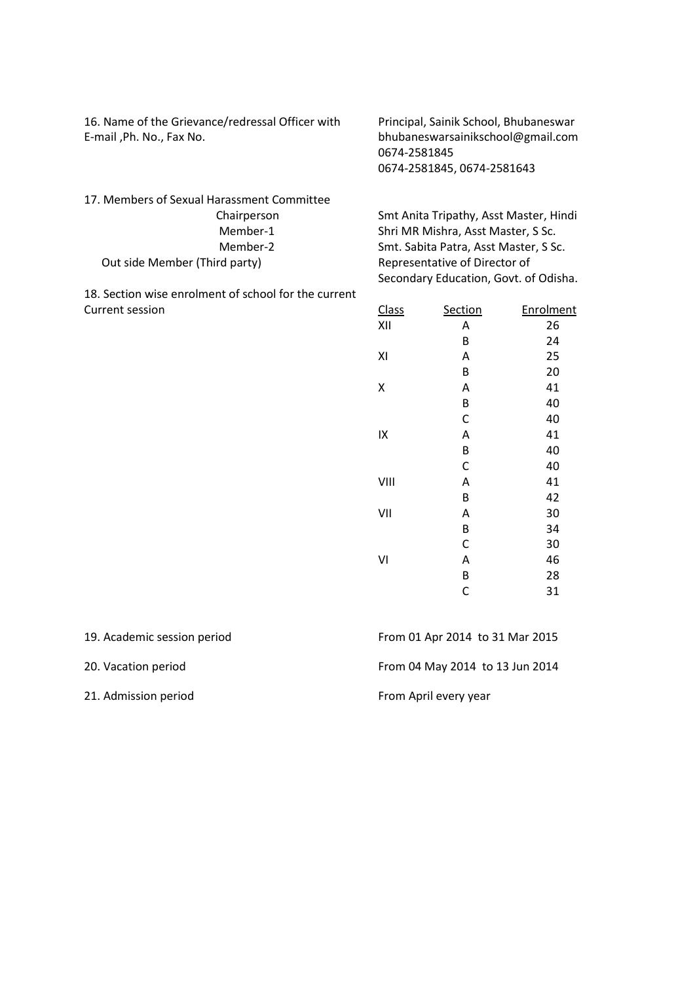16. Name of the Grievance/redressal Officer with Principal, Sainik School, Bhubaneswar E-mail ,Ph. No., Fax No. bhubaneswarsainikschool@gmail.com

0674-2581845 0674-2581845, 0674-2581643

17. Members of Sexual Harassment Committee Out side Member (Third party) Representative of Director of

18. Section wise enrolment of school for the current Current session

 Chairperson Smt Anita Tripathy, Asst Master, Hindi Member-1 Shri MR Mishra, Asst Master, S Sc. Member-2 Smt. Sabita Patra, Asst Master, S Sc. Secondary Education, Govt. of Odisha.

| <b>Class</b> | Section | Enrolment |
|--------------|---------|-----------|
| XII          | Α       | 26        |
|              | B       | 24        |
| XI           | Α       | 25        |
|              | B       | 20        |
| Χ            | Α       | 41        |
|              | B       | 40        |
|              | C       | 40        |
| IX           | Α       | 41        |
|              | B       | 40        |
|              | C       | 40        |
| VIII         | Α       | 41        |
|              | B       | 42        |
| VII          | A       | 30        |
|              | B       | 34        |
|              | C       | 30        |
| ٧I           | Α       | 46        |
|              | B       | 28        |
|              | С       | 31        |

| 19. Academic session period | From 01 Apr 2014 to 31 Mar 2015 |
|-----------------------------|---------------------------------|
| 20. Vacation period         | From 04 May 2014 to 13 Jun 2014 |
| 21. Admission period        | From April every year           |